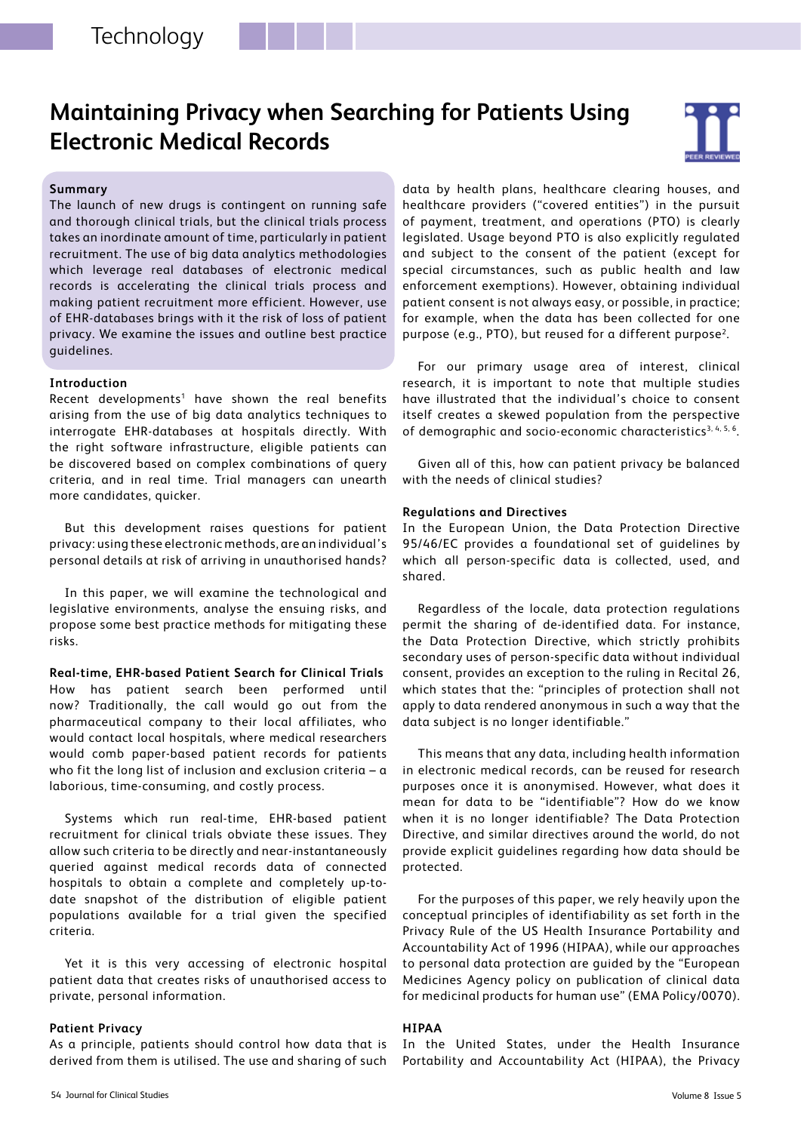# **Maintaining Privacy when Searching for Patients Using Electronic Medical Records**



## **Summary**

The launch of new drugs is contingent on running safe and thorough clinical trials, but the clinical trials process takes an inordinate amount of time, particularly in patient recruitment. The use of big data analytics methodologies which leverage real databases of electronic medical records is accelerating the clinical trials process and making patient recruitment more efficient. However, use of EHR-databases brings with it the risk of loss of patient privacy. We examine the issues and outline best practice guidelines.

#### **Introduction**

Recent developments<sup>1</sup> have shown the real benefits arising from the use of big data analytics techniques to interrogate EHR-databases at hospitals directly. With the right software infrastructure, eligible patients can be discovered based on complex combinations of query criteria, and in real time. Trial managers can unearth more candidates, quicker.

But this development raises questions for patient privacy: using these electronic methods, are an individual's personal details at risk of arriving in unauthorised hands?

In this paper, we will examine the technological and legislative environments, analyse the ensuing risks, and propose some best practice methods for mitigating these risks.

**Real-time, EHR-based Patient Search for Clinical Trials** How has patient search been performed until now? Traditionally, the call would go out from the pharmaceutical company to their local affiliates, who would contact local hospitals, where medical researchers would comb paper-based patient records for patients who fit the long list of inclusion and exclusion criteria - a laborious, time-consuming, and costly process.

Systems which run real-time, EHR-based patient recruitment for clinical trials obviate these issues. They allow such criteria to be directly and near-instantaneously queried against medical records data of connected hospitals to obtain a complete and completely up-todate snapshot of the distribution of eligible patient populations available for a trial given the specified criteria.

Yet it is this very accessing of electronic hospital patient data that creates risks of unauthorised access to private, personal information.

## **Patient Privacy**

As a principle, patients should control how data that is derived from them is utilised. The use and sharing of such data by health plans, healthcare clearing houses, and healthcare providers ("covered entities") in the pursuit of payment, treatment, and operations (PTO) is clearly legislated. Usage beyond PTO is also explicitly regulated and subject to the consent of the patient (except for special circumstances, such as public health and law enforcement exemptions). However, obtaining individual patient consent is not always easy, or possible, in practice; for example, when the data has been collected for one purpose (e.g., PTO), but reused for a different purpose<sup>2</sup>.

For our primary usage area of interest, clinical research, it is important to note that multiple studies have illustrated that the individual's choice to consent itself creates a skewed population from the perspective of demographic and socio-economic characteristics<sup>3, 4, 5, 6</sup>.

Given all of this, how can patient privacy be balanced with the needs of clinical studies?

#### **Regulations and Directives**

In the European Union, the Data Protection Directive 95/46/EC provides a foundational set of guidelines by which all person-specific data is collected, used, and shared.

Regardless of the locale, data protection regulations permit the sharing of de-identified data. For instance, the Data Protection Directive, which strictly prohibits secondary uses of person-specific data without individual consent, provides an exception to the ruling in Recital 26, which states that the: "principles of protection shall not apply to data rendered anonymous in such a way that the data subject is no longer identifiable."

This means that any data, including health information in electronic medical records, can be reused for research purposes once it is anonymised. However, what does it mean for data to be "identifiable"? How do we know when it is no longer identifiable? The Data Protection Directive, and similar directives around the world, do not provide explicit guidelines regarding how data should be protected.

For the purposes of this paper, we rely heavily upon the conceptual principles of identifiability as set forth in the Privacy Rule of the US Health Insurance Portability and Accountability Act of 1996 (HIPAA), while our approaches to personal data protection are guided by the "European Medicines Agency policy on publication of clinical data for medicinal products for human use" (EMA Policy/0070).

## **HIPAA**

In the United States, under the Health Insurance Portability and Accountability Act (HIPAA), the Privacy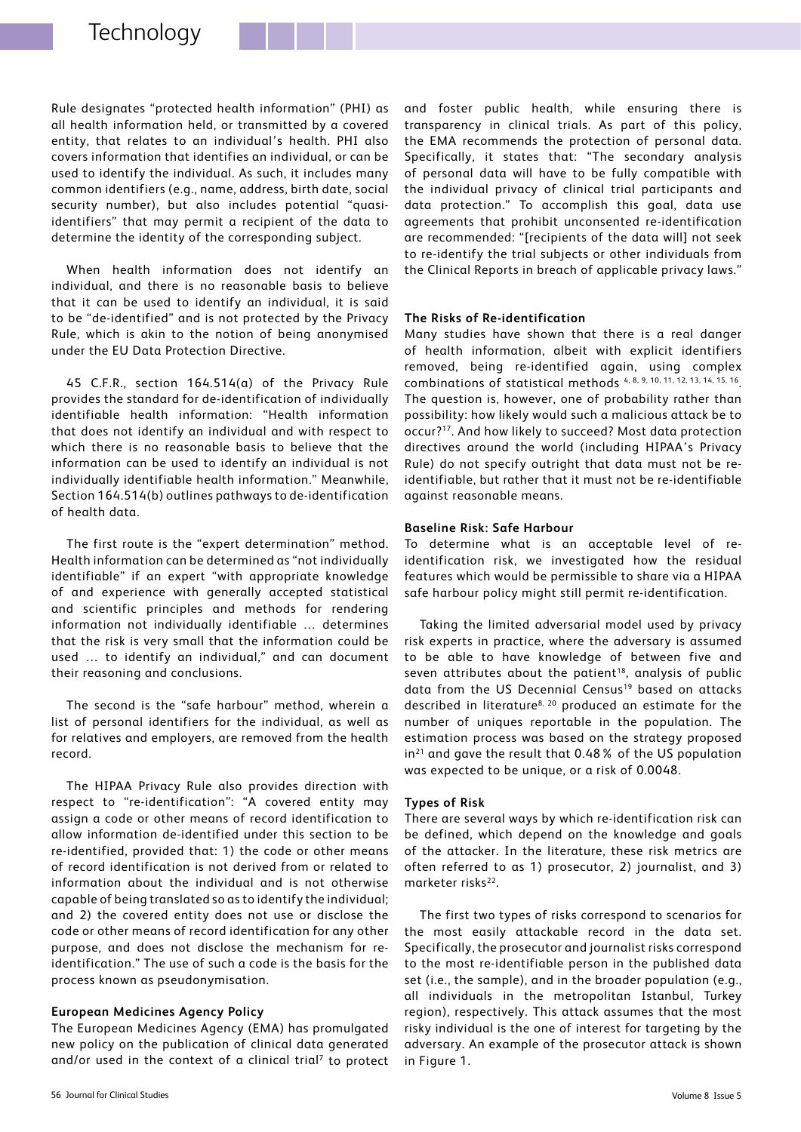Rule designates "protected health information" (PHI) as all health information held, or transmitted by a covered entity, that relates to an individual's health. PHI also covers information that identifies an individual, or can be used to identify the individual. As such, it includes many common identifiers (e.g., name, address, birth date, social security number), but also includes potential "quasiidentifiers" that may permit a recipient of the data to determine the identity of the corresponding subject.

When health information does not identify an individual, and there is no reasonable basis to believe that it can be used to identify an individual, it is said to be "de-identified" and is not protected by the Privacy Rule, which is akin to the notion of being anonymised under the EU Data Protection Directive.

45 C.F.R., section 164.514(a) of the Privacy Rule provides the standard for de-identification of individually identifiable health information: "Health information that does not identify an individual and with respect to which there is no reasonable basis to believe that the information can be used to identify an individual is not individually identifiable health information." Meanwhile, Section 164.514(b) outlines pathways to de-identification of health data.

The first route is the "expert determination" method. Health information can be determined as "not individually identifiable" if an expert "with appropriate knowledge of and experience with generally accepted statistical and scientific principles and methods for rendering information not individually identifiable … determines that the risk is very small that the information could be used … to identify an individual," and can document their reasoning and conclusions.

The second is the "safe harbour" method, wherein a list of personal identifiers for the individual, as well as for relatives and employers, are removed from the health record.

The HIPAA Privacy Rule also provides direction with respect to "re-identification": "A covered entity may assign a code or other means of record identification to allow information de-identified under this section to be re-identified, provided that: 1) the code or other means of record identification is not derived from or related to information about the individual and is not otherwise capable of being translated so as to identify the individual; and 2) the covered entity does not use or disclose the code or other means of record identification for any other purpose, and does not disclose the mechanism for reidentification." The use of such a code is the basis for the process known as pseudonymisation.

### **European Medicines Agency Policy**

The European Medicines Agency (EMA) has promulgated new policy on the publication of clinical data generated and/or used in the context of a clinical trial<sup>7</sup> to protect and foster public health, while ensuring there is transparency in clinical trials. As part of this policy, the EMA recommends the protection of personal data. Specifically, it states that: "The secondary analysis of personal data will have to be fully compatible with the individual privacy of clinical trial participants and data protection." To accomplish this goal, data use agreements that prohibit unconsented re-identification are recommended: "[recipients of the data will] not seek to re-identify the trial subjects or other individuals from the Clinical Reports in breach of applicable privacy laws."

## **The Risks of Re-identification**

Many studies have shown that there is a real danger of health information, albeit with explicit identifiers removed, being re-identified again, using complex combinations of statistical methods 4, 8, 9, 10, 11, 12, 13, 14, 15, 16. The question is, however, one of probability rather than possibility: how likely would such a malicious attack be to occur?17. And how likely to succeed? Most data protection directives around the world (including HIPAA's Privacy Rule) do not specify outright that data must not be reidentifiable, but rather that it must not be re-identifiable against reasonable means.

### **Baseline Risk: Safe Harbour**

To determine what is an acceptable level of reidentification risk, we investigated how the residual features which would be permissible to share via a HIPAA safe harbour policy might still permit re-identification.

Taking the limited adversarial model used by privacy risk experts in practice, where the adversary is assumed to be able to have knowledge of between five and seven attributes about the patient<sup>18</sup>, analysis of public data from the US Decennial Census<sup>19</sup> based on attacks described in literature<sup>8, 20</sup> produced an estimate for the number of uniques reportable in the population. The estimation process was based on the strategy proposed  $in<sup>21</sup>$  and gave the result that 0.48% of the US population was expected to be unique, or a risk of 0.0048.

## **Types of Risk**

There are several ways by which re-identification risk can be defined, which depend on the knowledge and goals of the attacker. In the literature, these risk metrics are often referred to as 1) prosecutor, 2) journalist, and 3) marketer risks<sup>22</sup>.

The first two types of risks correspond to scenarios for the most easily attackable record in the data set. Specifically, the prosecutor and journalist risks correspond to the most re-identifiable person in the published data set (i.e., the sample), and in the broader population (e.g., all individuals in the metropolitan Istanbul, Turkey region), respectively. This attack assumes that the most risky individual is the one of interest for targeting by the adversary. An example of the prosecutor attack is shown in Figure 1.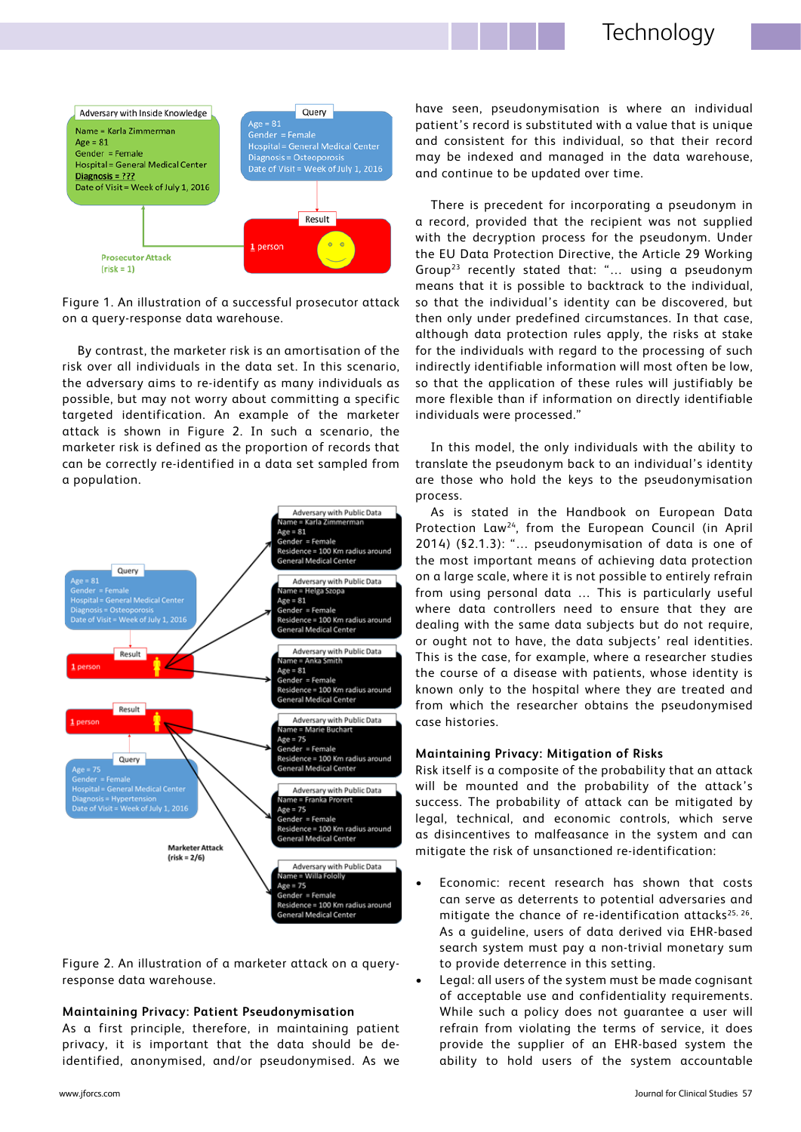

Figure 1. An illustration of a successful prosecutor attack on a query-response data warehouse.

By contrast, the marketer risk is an amortisation of the risk over all individuals in the data set. In this scenario, the adversary aims to re-identify as many individuals as possible, but may not worry about committing a specific targeted identification. An example of the marketer attack is shown in Figure 2. In such a scenario, the marketer risk is defined as the proportion of records that can be correctly re-identified in a data set sampled from a population.



Figure 2. An illustration of a marketer attack on a queryresponse data warehouse.

### **Maintaining Privacy: Patient Pseudonymisation**

As a first principle, therefore, in maintaining patient privacy, it is important that the data should be deidentified, anonymised, and/or pseudonymised. As we have seen, pseudonymisation is where an individual patient's record is substituted with a value that is unique and consistent for this individual, so that their record may be indexed and managed in the data warehouse, and continue to be updated over time.

There is precedent for incorporating a pseudonym in a record, provided that the recipient was not supplied with the decryption process for the pseudonym. Under the EU Data Protection Directive, the Article 29 Working Group23 recently stated that: "… using a pseudonym means that it is possible to backtrack to the individual, so that the individual's identity can be discovered, but then only under predefined circumstances. In that case, although data protection rules apply, the risks at stake for the individuals with regard to the processing of such indirectly identifiable information will most often be low, so that the application of these rules will justifiably be more flexible than if information on directly identifiable individuals were processed."

In this model, the only individuals with the ability to translate the pseudonym back to an individual's identity are those who hold the keys to the pseudonymisation process.

As is stated in the Handbook on European Data Protection Law24, from the European Council (in April 2014) (§2.1.3): "… pseudonymisation of data is one of the most important means of achieving data protection on a large scale, where it is not possible to entirely refrain from using personal data … This is particularly useful where data controllers need to ensure that they are dealing with the same data subjects but do not require, or ought not to have, the data subjects' real identities. This is the case, for example, where a researcher studies the course of a disease with patients, whose identity is known only to the hospital where they are treated and from which the researcher obtains the pseudonymised case histories.

#### **Maintaining Privacy: Mitigation of Risks**

Risk itself is a composite of the probability that an attack will be mounted and the probability of the attack's success. The probability of attack can be mitigated by legal, technical, and economic controls, which serve as disincentives to malfeasance in the system and can mitigate the risk of unsanctioned re-identification:

- Economic: recent research has shown that costs can serve as deterrents to potential adversaries and mitigate the chance of re-identification attacks<sup>25, 26</sup>. As a guideline, users of data derived via EHR-based search system must pay a non-trivial monetary sum to provide deterrence in this setting.
- Legal: all users of the system must be made cognisant of acceptable use and confidentiality requirements. While such a policy does not guarantee a user will refrain from violating the terms of service, it does provide the supplier of an EHR-based system the ability to hold users of the system accountable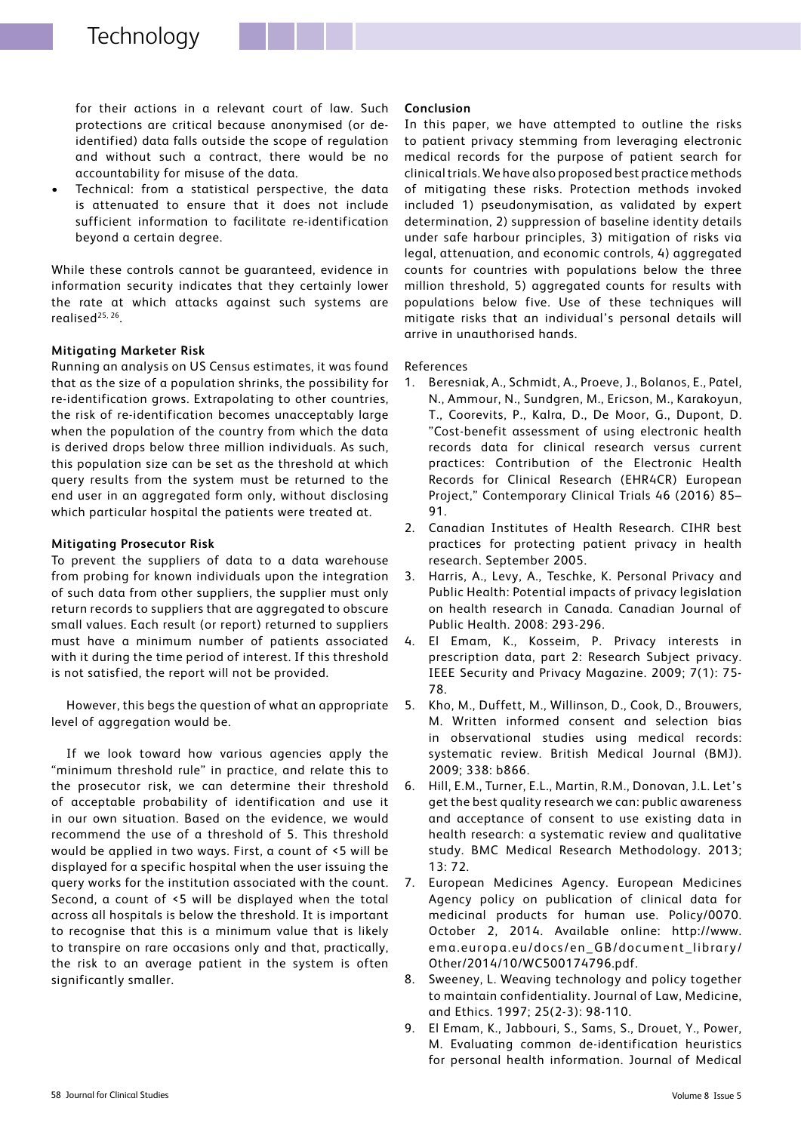for their actions in a relevant court of law. Such protections are critical because anonymised (or deidentified) data falls outside the scope of regulation and without such a contract, there would be no accountability for misuse of the data.

Technical: from a statistical perspective, the data is attenuated to ensure that it does not include sufficient information to facilitate re-identification beyond a certain degree.

While these controls cannot be guaranteed, evidence in information security indicates that they certainly lower the rate at which attacks against such systems are realised25, 26.

## **Mitigating Marketer Risk**

Running an analysis on US Census estimates, it was found that as the size of a population shrinks, the possibility for re-identification grows. Extrapolating to other countries, the risk of re-identification becomes unacceptably large when the population of the country from which the data is derived drops below three million individuals. As such, this population size can be set as the threshold at which query results from the system must be returned to the end user in an aggregated form only, without disclosing which particular hospital the patients were treated at.

## **Mitigating Prosecutor Risk**

To prevent the suppliers of data to a data warehouse from probing for known individuals upon the integration of such data from other suppliers, the supplier must only return records to suppliers that are aggregated to obscure small values. Each result (or report) returned to suppliers must have a minimum number of patients associated with it during the time period of interest. If this threshold is not satisfied, the report will not be provided.

However, this begs the question of what an appropriate level of aggregation would be.

If we look toward how various agencies apply the "minimum threshold rule" in practice, and relate this to the prosecutor risk, we can determine their threshold of acceptable probability of identification and use it in our own situation. Based on the evidence, we would recommend the use of a threshold of 5. This threshold would be applied in two ways. First, a count of <5 will be displayed for a specific hospital when the user issuing the query works for the institution associated with the count. Second, a count of <5 will be displayed when the total across all hospitals is below the threshold. It is important to recognise that this is a minimum value that is likely to transpire on rare occasions only and that, practically, the risk to an average patient in the system is often significantly smaller.

## **Conclusion**

In this paper, we have attempted to outline the risks to patient privacy stemming from leveraging electronic medical records for the purpose of patient search for clinical trials. We have also proposed best practice methods of mitigating these risks. Protection methods invoked included 1) pseudonymisation, as validated by expert determination, 2) suppression of baseline identity details under safe harbour principles, 3) mitigation of risks via legal, attenuation, and economic controls, 4) aggregated counts for countries with populations below the three million threshold, 5) aggregated counts for results with populations below five. Use of these techniques will mitigate risks that an individual's personal details will arrive in unauthorised hands.

## References

- 1. Beresniak, A., Schmidt, A., Proeve, J., Bolanos, E., Patel, N., Ammour, N., Sundgren, M., Ericson, M., Karakoyun, T., Coorevits, P., Kalra, D., De Moor, G., Dupont, D. "Cost-benefit assessment of using electronic health records data for clinical research versus current practices: Contribution of the Electronic Health Records for Clinical Research (EHR4CR) European Project," Contemporary Clinical Trials 46 (2016) 85– 91.
- 2. Canadian Institutes of Health Research. CIHR best practices for protecting patient privacy in health research. September 2005.
- 3. Harris, A., Levy, A., Teschke, K. Personal Privacy and Public Health: Potential impacts of privacy legislation on health research in Canada. Canadian Journal of Public Health. 2008: 293-296.
- 4. El Emam, K., Kosseim, P. Privacy interests in prescription data, part 2: Research Subject privacy. IEEE Security and Privacy Magazine. 2009; 7(1): 75- 78.
- 5. Kho, M., Duffett, M., Willinson, D., Cook, D., Brouwers, M. Written informed consent and selection bias in observational studies using medical records: systematic review. British Medical Journal (BMJ). 2009; 338: b866.
- 6. Hill, E.M., Turner, E.L., Martin, R.M., Donovan, J.L. Let's get the best quality research we can: public awareness and acceptance of consent to use existing data in health research: a systematic review and qualitative study. BMC Medical Research Methodology. 2013; 13: 72.
- 7. European Medicines Agency. European Medicines Agency policy on publication of clinical data for medicinal products for human use. Policy/0070. October 2, 2014. Available online: http://www. ema.europa.eu/docs/en\_GB/document\_library/ Other/2014/10/WC500174796.pdf.
- 8. Sweeney, L. Weaving technology and policy together to maintain confidentiality. Journal of Law, Medicine, and Ethics. 1997; 25(2-3): 98-110.
- 9. El Emam, K., Jabbouri, S., Sams, S., Drouet, Y., Power, M. Evaluating common de-identification heuristics for personal health information. Journal of Medical